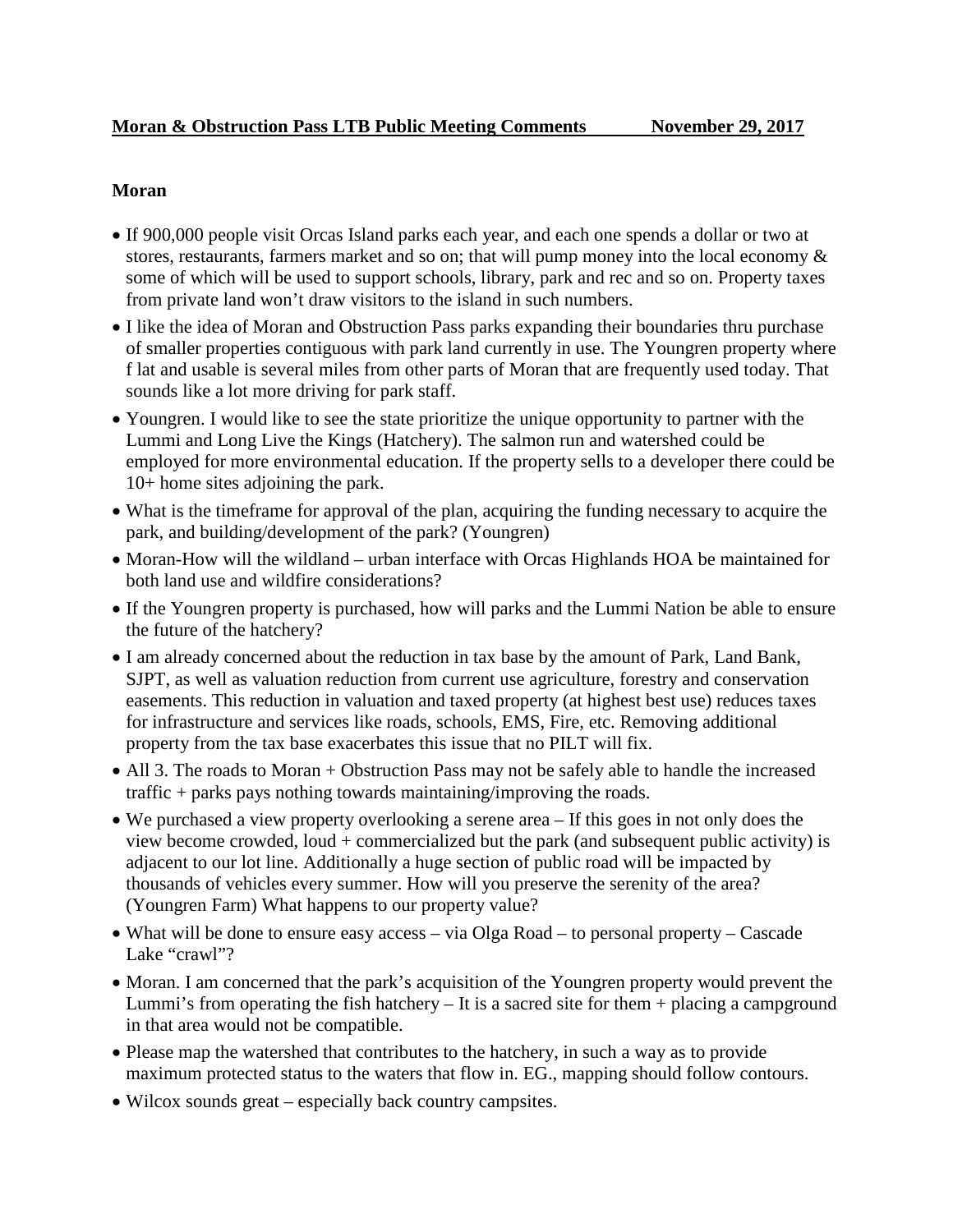## **Moran**

- If 900,000 people visit Orcas Island parks each year, and each one spends a dollar or two at stores, restaurants, farmers market and so on; that will pump money into the local economy  $\&$ some of which will be used to support schools, library, park and rec and so on. Property taxes from private land won't draw visitors to the island in such numbers.
- I like the idea of Moran and Obstruction Pass parks expanding their boundaries thru purchase of smaller properties contiguous with park land currently in use. The Youngren property where f lat and usable is several miles from other parts of Moran that are frequently used today. That sounds like a lot more driving for park staff.
- Youngren. I would like to see the state prioritize the unique opportunity to partner with the Lummi and Long Live the Kings (Hatchery). The salmon run and watershed could be employed for more environmental education. If the property sells to a developer there could be 10+ home sites adjoining the park.
- What is the timeframe for approval of the plan, acquiring the funding necessary to acquire the park, and building/development of the park? (Youngren)
- Moran-How will the wildland urban interface with Orcas Highlands HOA be maintained for both land use and wildfire considerations?
- If the Youngren property is purchased, how will parks and the Lummi Nation be able to ensure the future of the hatchery?
- I am already concerned about the reduction in tax base by the amount of Park, Land Bank, SJPT, as well as valuation reduction from current use agriculture, forestry and conservation easements. This reduction in valuation and taxed property (at highest best use) reduces taxes for infrastructure and services like roads, schools, EMS, Fire, etc. Removing additional property from the tax base exacerbates this issue that no PILT will fix.
- All 3. The roads to Moran + Obstruction Pass may not be safely able to handle the increased traffic + parks pays nothing towards maintaining/improving the roads.
- We purchased a view property overlooking a serene area If this goes in not only does the view become crowded, loud + commercialized but the park (and subsequent public activity) is adjacent to our lot line. Additionally a huge section of public road will be impacted by thousands of vehicles every summer. How will you preserve the serenity of the area? (Youngren Farm) What happens to our property value?
- What will be done to ensure easy access via Olga Road to personal property Cascade Lake "crawl"?
- Moran. I am concerned that the park's acquisition of the Youngren property would prevent the Lummi's from operating the fish hatchery  $-$  It is a sacred site for them  $+$  placing a campground in that area would not be compatible.
- Please map the watershed that contributes to the hatchery, in such a way as to provide maximum protected status to the waters that flow in. EG., mapping should follow contours.
- Wilcox sounds great especially back country campsites.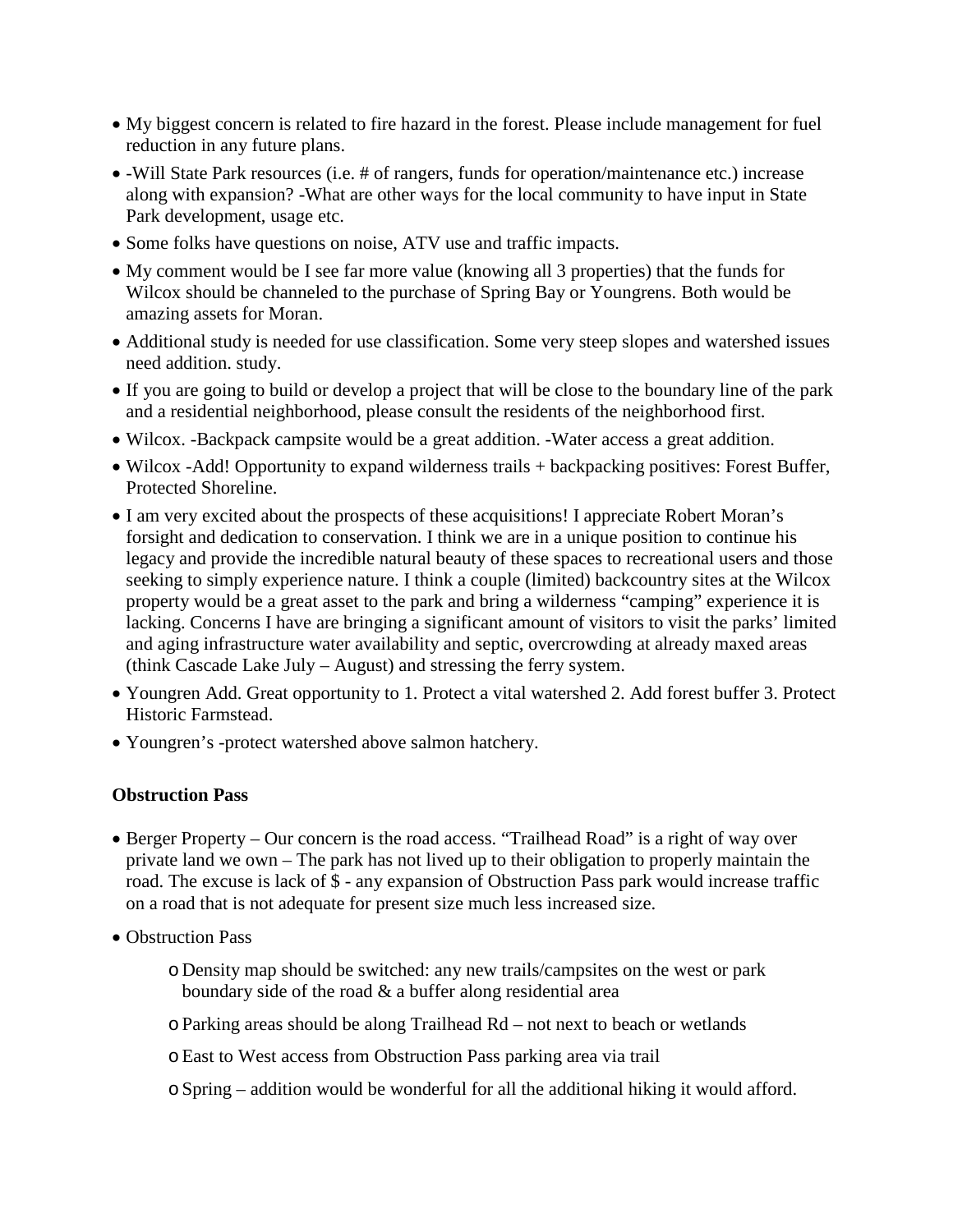- My biggest concern is related to fire hazard in the forest. Please include management for fuel reduction in any future plans.
- -Will State Park resources (i.e. # of rangers, funds for operation/maintenance etc.) increase along with expansion? -What are other ways for the local community to have input in State Park development, usage etc.
- Some folks have questions on noise, ATV use and traffic impacts.
- My comment would be I see far more value (knowing all 3 properties) that the funds for Wilcox should be channeled to the purchase of Spring Bay or Youngrens. Both would be amazing assets for Moran.
- Additional study is needed for use classification. Some very steep slopes and watershed issues need addition. study.
- If you are going to build or develop a project that will be close to the boundary line of the park and a residential neighborhood, please consult the residents of the neighborhood first.
- Wilcox. -Backpack campsite would be a great addition. -Water access a great addition.
- Wilcox -Add! Opportunity to expand wilderness trails + backpacking positives: Forest Buffer, Protected Shoreline.
- I am very excited about the prospects of these acquisitions! I appreciate Robert Moran's forsight and dedication to conservation. I think we are in a unique position to continue his legacy and provide the incredible natural beauty of these spaces to recreational users and those seeking to simply experience nature. I think a couple (limited) backcountry sites at the Wilcox property would be a great asset to the park and bring a wilderness "camping" experience it is lacking. Concerns I have are bringing a significant amount of visitors to visit the parks' limited and aging infrastructure water availability and septic, overcrowding at already maxed areas (think Cascade Lake July – August) and stressing the ferry system.
- Youngren Add. Great opportunity to 1. Protect a vital watershed 2. Add forest buffer 3. Protect Historic Farmstead.
- Youngren's -protect watershed above salmon hatchery.

## **Obstruction Pass**

- Berger Property Our concern is the road access. "Trailhead Road" is a right of way over private land we own – The park has not lived up to their obligation to properly maintain the road. The excuse is lack of \$ - any expansion of Obstruction Pass park would increase traffic on a road that is not adequate for present size much less increased size.
- Obstruction Pass
	- o Density map should be switched: any new trails/campsites on the west or park boundary side of the road & a buffer along residential area
	- oParking areas should be along Trailhead Rd not next to beach or wetlands
	- oEast to West access from Obstruction Pass parking area via trail
	- oSpring addition would be wonderful for all the additional hiking it would afford.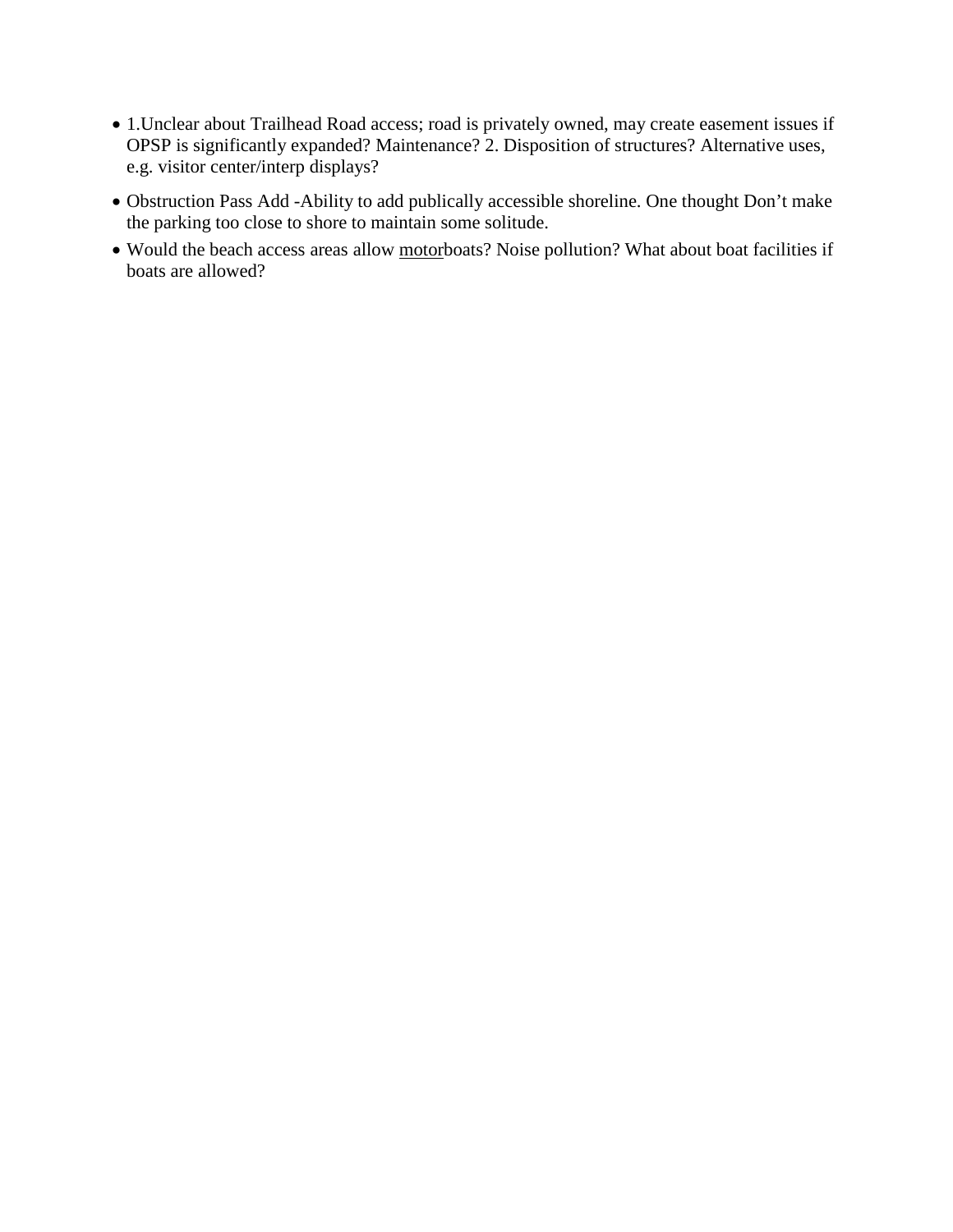- 1.Unclear about Trailhead Road access; road is privately owned, may create easement issues if OPSP is significantly expanded? Maintenance? 2. Disposition of structures? Alternative uses, e.g. visitor center/interp displays?
- Obstruction Pass Add -Ability to add publically accessible shoreline. One thought Don't make the parking too close to shore to maintain some solitude.
- Would the beach access areas allow motorboats? Noise pollution? What about boat facilities if boats are allowed?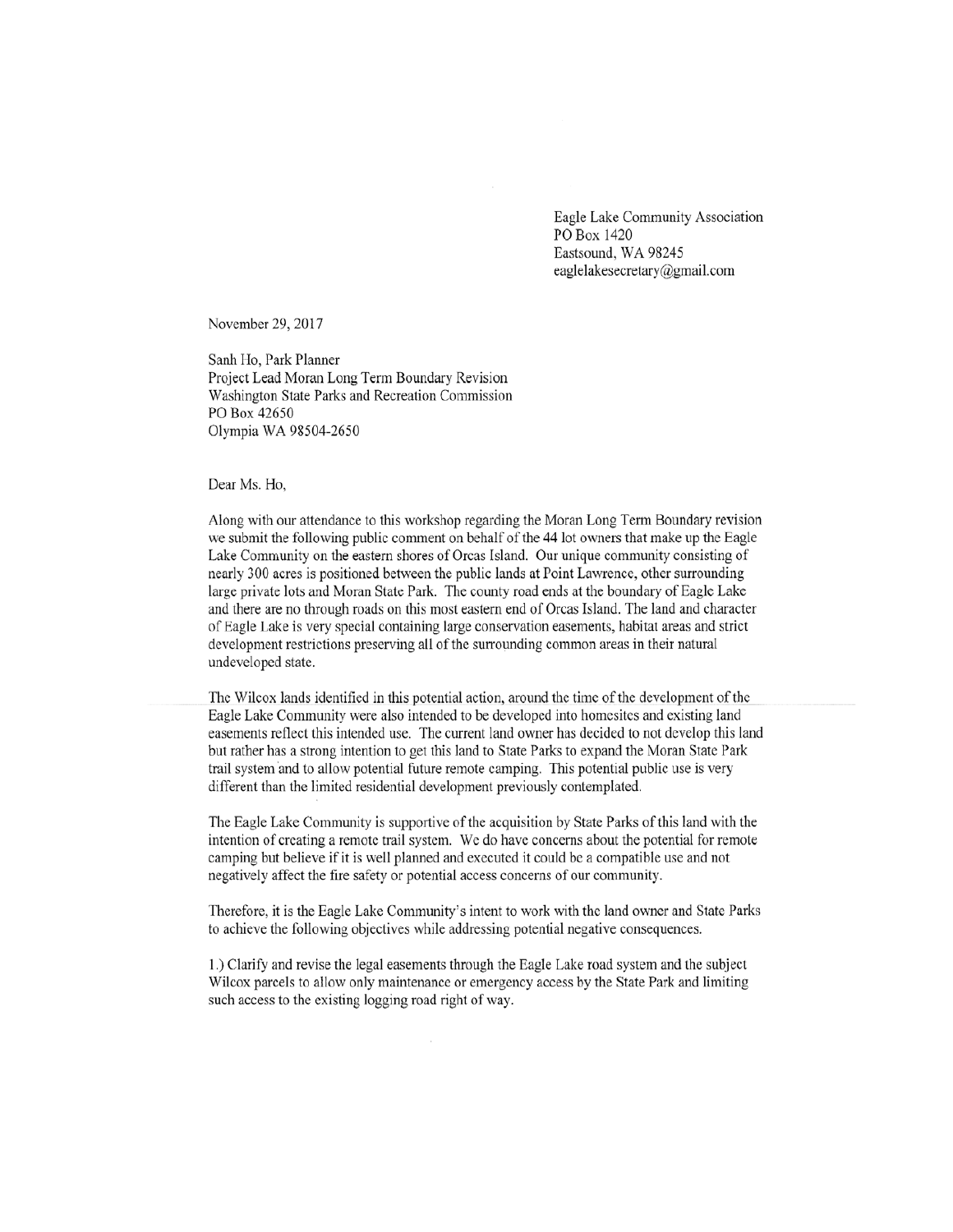Eagle Lake Community Association PO Box 1420 Eastsound, WA 98245 eaglelakesecretary@gmail.com

November 29, 2017

Sanh Ho, Park Planner Project Lead Moran Long Term Boundary Revision Washington State Parks and Recreation Commission PO Box 42650 Olympia WA 98504-2650

Dear Ms. Ho,

Along with our attendance to this workshop regarding the Moran Long Term Boundary revision we submit the following public comment on behalf of the 44 lot owners that make up the Eagle Lake Community on the eastern shores of Orcas Island. Our unique community consisting of nearly 300 acres is positioned between the public lands at Point Lawrence, other surrounding large private lots and Moran State Park. The county road ends at the boundary of Eagle Lake and there are no through roads on this most eastern end of Orcas Island. The land and character of Eagle Lake is very special containing large conservation easements, habitat areas and strict development restrictions preserving all of the surrounding common areas in their natural undeveloped state.

The Wilcox lands identified in this potential action, around the time of the development of the Eagle Lake Community were also intended to be developed into homesites and existing land easements reflect this intended use. The current land owner has decided to not develop this land but rather has a strong intention to get this land to State Parks to expand the Moran State Park trail system and to allow potential future remote camping. This potential public use is very different than the limited residential development previously contemplated.

The Eagle Lake Community is supportive of the acquisition by State Parks of this land with the intention of creating a remote trail system. We do have concerns about the potential for remote camping but believe if it is well planned and executed it could be a compatible use and not negatively affect the fire safety or potential access concerns of our community.

Therefore, it is the Eagle Lake Community's intent to work with the land owner and State Parks to achieve the following objectives while addressing potential negative consequences.

1.) Clarify and revise the legal easements through the Eagle Lake road system and the subject Wilcox parcels to allow only maintenance or emergency access by the State Park and limiting such access to the existing logging road right of way.